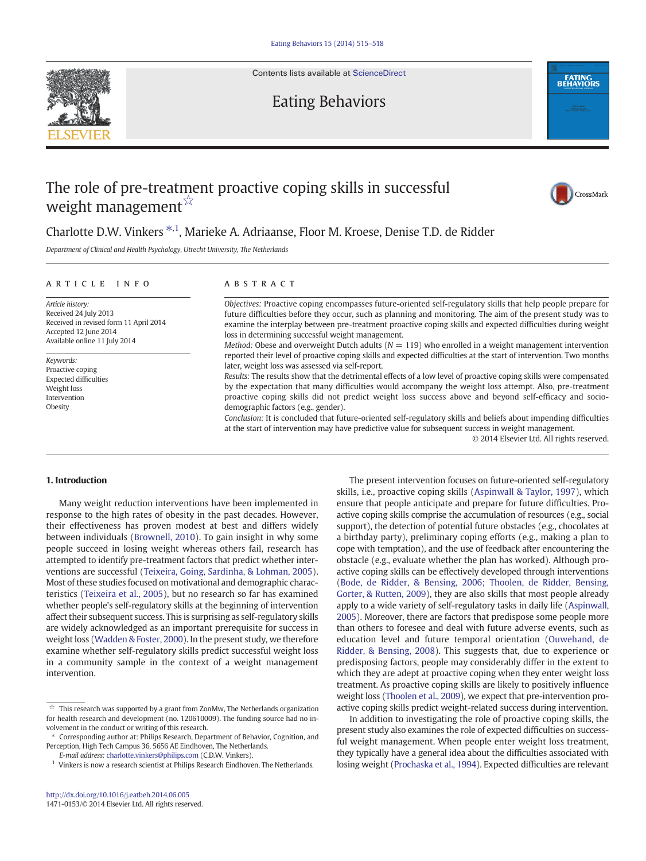Contents lists available at [ScienceDirect](http://www.sciencedirect.com/science/journal/14710153)



Eating Behaviors

# The role of pre-treatment proactive coping skills in successful weight management<sup>☆</sup>



**EATING**<br>**BEHAVIORS** 

## Charlotte D.W. Vinkers \*,1, Marieke A. Adriaanse, Floor M. Kroese, Denise T.D. de Ridder

Department of Clinical and Health Psychology, Utrecht University, The Netherlands

#### article info abstract

Article history: Received 24 July 2013 Received in revised form 11 April 2014 Accepted 12 June 2014 Available online 11 July 2014

Keywords: Proactive coping Expected difficulties Weight loss Intervention **Obesity** 

Objectives: Proactive coping encompasses future-oriented self-regulatory skills that help people prepare for future difficulties before they occur, such as planning and monitoring. The aim of the present study was to examine the interplay between pre-treatment proactive coping skills and expected difficulties during weight loss in determining successful weight management.

*Method:* Obese and overweight Dutch adults ( $N = 119$ ) who enrolled in a weight management intervention reported their level of proactive coping skills and expected difficulties at the start of intervention. Two months later, weight loss was assessed via self-report.

Results: The results show that the detrimental effects of a low level of proactive coping skills were compensated by the expectation that many difficulties would accompany the weight loss attempt. Also, pre-treatment proactive coping skills did not predict weight loss success above and beyond self-efficacy and sociodemographic factors (e.g., gender).

Conclusion: It is concluded that future-oriented self-regulatory skills and beliefs about impending difficulties at the start of intervention may have predictive value for subsequent success in weight management. © 2014 Elsevier Ltd. All rights reserved.

#### 1. Introduction

Many weight reduction interventions have been implemented in response to the high rates of obesity in the past decades. However, their effectiveness has proven modest at best and differs widely between individuals ([Brownell, 2010\)](#page-3-0). To gain insight in why some people succeed in losing weight whereas others fail, research has attempted to identify pre-treatment factors that predict whether interventions are successful ([Teixeira, Going, Sardinha, & Lohman, 2005](#page-3-0)). Most of these studies focused on motivational and demographic characteristics ([Teixeira et al., 2005\)](#page-3-0), but no research so far has examined whether people's self-regulatory skills at the beginning of intervention affect their subsequent success. This is surprising as self-regulatory skills are widely acknowledged as an important prerequisite for success in weight loss [\(Wadden & Foster, 2000\)](#page-3-0). In the present study, we therefore examine whether self-regulatory skills predict successful weight loss in a community sample in the context of a weight management intervention.

The present intervention focuses on future-oriented self-regulatory skills, i.e., proactive coping skills ([Aspinwall & Taylor, 1997\)](#page-3-0), which ensure that people anticipate and prepare for future difficulties. Proactive coping skills comprise the accumulation of resources (e.g., social support), the detection of potential future obstacles (e.g., chocolates at a birthday party), preliminary coping efforts (e.g., making a plan to cope with temptation), and the use of feedback after encountering the obstacle (e.g., evaluate whether the plan has worked). Although proactive coping skills can be effectively developed through interventions [\(Bode, de Ridder, & Bensing, 2006; Thoolen, de Ridder, Bensing,](#page-3-0) [Gorter, & Rutten, 2009\)](#page-3-0), they are also skills that most people already apply to a wide variety of self-regulatory tasks in daily life [\(Aspinwall,](#page-3-0) [2005\)](#page-3-0). Moreover, there are factors that predispose some people more than others to foresee and deal with future adverse events, such as education level and future temporal orientation [\(Ouwehand, de](#page-3-0) [Ridder, & Bensing, 2008](#page-3-0)). This suggests that, due to experience or predisposing factors, people may considerably differ in the extent to which they are adept at proactive coping when they enter weight loss treatment. As proactive coping skills are likely to positively influence weight loss ([Thoolen et al., 2009](#page-3-0)), we expect that pre-intervention proactive coping skills predict weight-related success during intervention.

In addition to investigating the role of proactive coping skills, the present study also examines the role of expected difficulties on successful weight management. When people enter weight loss treatment, they typically have a general idea about the difficulties associated with losing weight [\(Prochaska et al., 1994](#page-3-0)). Expected difficulties are relevant

 $\overrightarrow{a}$  This research was supported by a grant from ZonMw, The Netherlands organization for health research and development (no. 120610009). The funding source had no involvement in the conduct or writing of this research.

<sup>⁎</sup> Corresponding author at: Philips Research, Department of Behavior, Cognition, and Perception, High Tech Campus 36, 5656 AE Eindhoven, The Netherlands.

E-mail address: [charlotte.vinkers@philips.com](mailto:charlotte.vinkers@philips.com) (C.D.W. Vinkers).

Vinkers is now a research scientist at Philips Research Eindhoven, The Netherlands.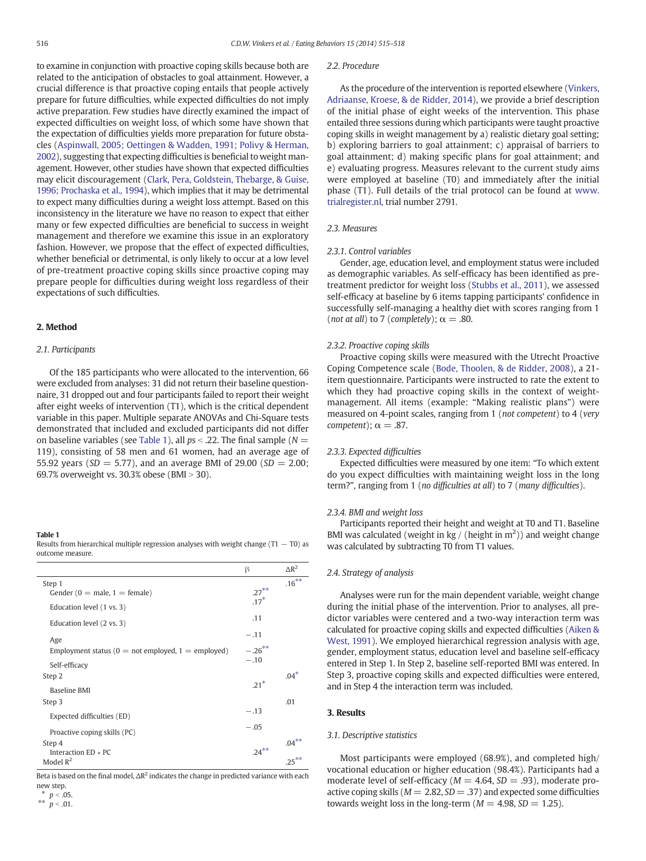<span id="page-1-0"></span>to examine in conjunction with proactive coping skills because both are related to the anticipation of obstacles to goal attainment. However, a crucial difference is that proactive coping entails that people actively prepare for future difficulties, while expected difficulties do not imply active preparation. Few studies have directly examined the impact of expected difficulties on weight loss, of which some have shown that the expectation of difficulties yields more preparation for future obstacles [\(Aspinwall, 2005; Oettingen & Wadden, 1991; Polivy & Herman,](#page-3-0) [2002\)](#page-3-0), suggesting that expecting difficulties is beneficial to weight management. However, other studies have shown that expected difficulties may elicit discouragement ([Clark, Pera, Goldstein, Thebarge, & Guise,](#page-3-0) [1996; Prochaska et al., 1994](#page-3-0)), which implies that it may be detrimental to expect many difficulties during a weight loss attempt. Based on this inconsistency in the literature we have no reason to expect that either many or few expected difficulties are beneficial to success in weight management and therefore we examine this issue in an exploratory fashion. However, we propose that the effect of expected difficulties, whether beneficial or detrimental, is only likely to occur at a low level of pre-treatment proactive coping skills since proactive coping may prepare people for difficulties during weight loss regardless of their expectations of such difficulties.

#### 2. Method

#### 2.1. Participants

Of the 185 participants who were allocated to the intervention, 66 were excluded from analyses: 31 did not return their baseline questionnaire, 31 dropped out and four participants failed to report their weight after eight weeks of intervention (T1), which is the critical dependent variable in this paper. Multiple separate ANOVAs and Chi-Square tests demonstrated that included and excluded participants did not differ on baseline variables (see Table 1), all  $ps < .22$ . The final sample ( $N =$ 119), consisting of 58 men and 61 women, had an average age of 55.92 years ( $SD = 5.77$ ), and an average BMI of 29.00 ( $SD = 2.00$ ; 69.7% overweight vs. 30.3% obese (BMI  $>$  30).

#### Table 1

Results from hierarchical multiple regression analyses with weight change (T1  $-$  T0) as outcome measure.

|                                                         | β         | $\Delta R^2$ |
|---------------------------------------------------------|-----------|--------------|
| Step 1                                                  |           | $.16***$     |
| Gender ( $0 =$ male, $1 =$ female)                      | $.27***$  |              |
| Education level (1 vs. 3)                               | $.17*$    |              |
| Education level (2 vs. 3)                               | .11       |              |
| Age                                                     | $-.11$    |              |
| Employment status ( $0 =$ not employed, $1 =$ employed) | $-.26***$ |              |
| Self-efficacy                                           | $-.10$    |              |
| Step 2                                                  |           | $.04*$       |
| Baseline BMI                                            | $.21*$    |              |
| Step 3                                                  |           | .01          |
| Expected difficulties (ED)                              | $-.13$    |              |
| Proactive coping skills (PC)                            | $-.05$    |              |
| Step 4                                                  |           | $.04***$     |
| Interaction $ED * PC$                                   | $.24***$  |              |
| Model $R^2$                                             |           | $.25***$     |

Beta is based on the final model,  $\Delta R^2$  indicates the change in predicted variance with each new step.

\*\*  $p < .01$ .

#### 2.2. Procedure

As the procedure of the intervention is reported elsewhere [\(Vinkers,](#page-3-0) [Adriaanse, Kroese, & de Ridder, 2014\)](#page-3-0), we provide a brief description of the initial phase of eight weeks of the intervention. This phase entailed three sessions during which participants were taught proactive coping skills in weight management by a) realistic dietary goal setting; b) exploring barriers to goal attainment; c) appraisal of barriers to goal attainment; d) making specific plans for goal attainment; and e) evaluating progress. Measures relevant to the current study aims were employed at baseline (T0) and immediately after the initial phase (T1). Full details of the trial protocol can be found at [www.](http://www.trialregister.nl) [trialregister.nl,](http://www.trialregister.nl) trial number 2791.

#### 2.3. Measures

#### 2.3.1. Control variables

Gender, age, education level, and employment status were included as demographic variables. As self-efficacy has been identified as pretreatment predictor for weight loss [\(Stubbs et al., 2011](#page-3-0)), we assessed self-efficacy at baseline by 6 items tapping participants' confidence in successfully self-managing a healthy diet with scores ranging from 1 (not at all) to 7 (completely);  $\alpha = .80$ .

#### 2.3.2. Proactive coping skills

Proactive coping skills were measured with the Utrecht Proactive Coping Competence scale [\(Bode, Thoolen, & de Ridder, 2008\)](#page-3-0), a 21 item questionnaire. Participants were instructed to rate the extent to which they had proactive coping skills in the context of weightmanagement. All items (example: "Making realistic plans") were measured on 4-point scales, ranging from 1 (not competent) to 4 (very competent);  $\alpha = .87$ .

#### 2.3.3. Expected difficulties

Expected difficulties were measured by one item: "To which extent do you expect difficulties with maintaining weight loss in the long term?", ranging from 1 (no difficulties at all) to 7 (many difficulties).

#### 2.3.4. BMI and weight loss

Participants reported their height and weight at T0 and T1. Baseline BMI was calculated (weight in  $\text{kg}/$  (height in m<sup>2</sup>)) and weight change was calculated by subtracting T0 from T1 values.

#### 2.4. Strategy of analysis

Analyses were run for the main dependent variable, weight change during the initial phase of the intervention. Prior to analyses, all predictor variables were centered and a two-way interaction term was calculated for proactive coping skills and expected difficulties ([Aiken &](#page-3-0) [West, 1991\)](#page-3-0). We employed hierarchical regression analysis with age, gender, employment status, education level and baseline self-efficacy entered in Step 1. In Step 2, baseline self-reported BMI was entered. In Step 3, proactive coping skills and expected difficulties were entered, and in Step 4 the interaction term was included.

#### 3. Results

#### 3.1. Descriptive statistics

Most participants were employed (68.9%), and completed high/ vocational education or higher education (98.4%). Participants had a moderate level of self-efficacy ( $M = 4.64$ ,  $SD = .93$ ), moderate proactive coping skills ( $M = 2.82$ ,  $SD = 0.37$ ) and expected some difficulties towards weight loss in the long-term  $(M = 4.98, SD = 1.25)$ .

<sup>\*</sup>  $p < .05$ .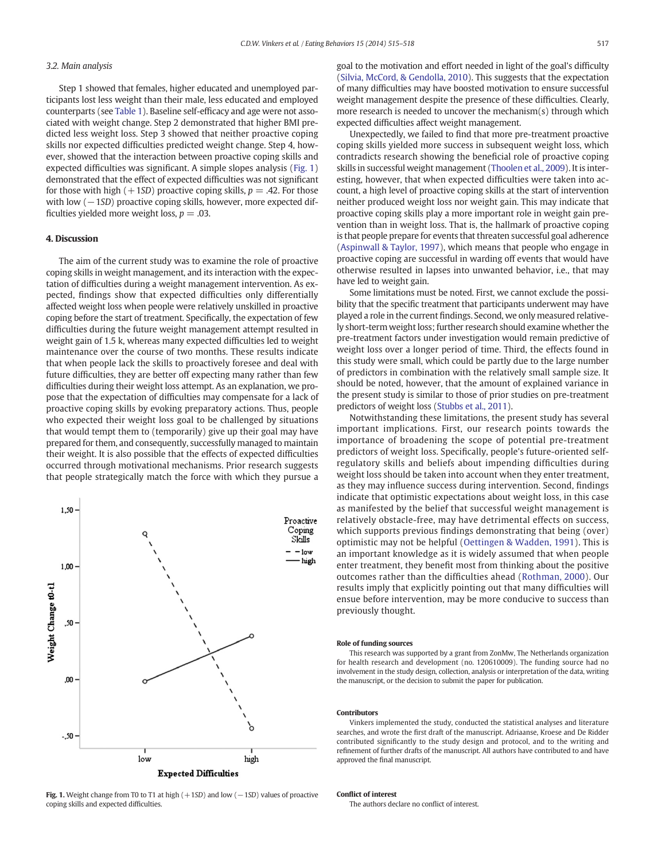#### 3.2. Main analysis

Step 1 showed that females, higher educated and unemployed participants lost less weight than their male, less educated and employed counterparts (see [Table 1](#page-1-0)). Baseline self-efficacy and age were not associated with weight change. Step 2 demonstrated that higher BMI predicted less weight loss. Step 3 showed that neither proactive coping skills nor expected difficulties predicted weight change. Step 4, however, showed that the interaction between proactive coping skills and expected difficulties was significant. A simple slopes analysis (Fig. 1) demonstrated that the effect of expected difficulties was not significant for those with high  $(+1SD)$  proactive coping skills,  $p = .42$ . For those with low (-1SD) proactive coping skills, however, more expected difficulties yielded more weight loss,  $p = .03$ .

#### 4. Discussion

The aim of the current study was to examine the role of proactive coping skills in weight management, and its interaction with the expectation of difficulties during a weight management intervention. As expected, findings show that expected difficulties only differentially affected weight loss when people were relatively unskilled in proactive coping before the start of treatment. Specifically, the expectation of few difficulties during the future weight management attempt resulted in weight gain of 1.5 k, whereas many expected difficulties led to weight maintenance over the course of two months. These results indicate that when people lack the skills to proactively foresee and deal with future difficulties, they are better off expecting many rather than few difficulties during their weight loss attempt. As an explanation, we propose that the expectation of difficulties may compensate for a lack of proactive coping skills by evoking preparatory actions. Thus, people who expected their weight loss goal to be challenged by situations that would tempt them to (temporarily) give up their goal may have prepared for them, and consequently, successfully managed to maintain their weight. It is also possible that the effects of expected difficulties occurred through motivational mechanisms. Prior research suggests that people strategically match the force with which they pursue a



Fig. 1. Weight change from T0 to T1 at high  $(+15D)$  and low  $(-15D)$  values of proactive coping skills and expected difficulties.

goal to the motivation and effort needed in light of the goal's difficulty [\(Silvia, McCord, & Gendolla, 2010](#page-3-0)). This suggests that the expectation of many difficulties may have boosted motivation to ensure successful weight management despite the presence of these difficulties. Clearly, more research is needed to uncover the mechanism(s) through which expected difficulties affect weight management.

Unexpectedly, we failed to find that more pre-treatment proactive coping skills yielded more success in subsequent weight loss, which contradicts research showing the beneficial role of proactive coping skills in successful weight management [\(Thoolen et al., 2009\)](#page-3-0). It is interesting, however, that when expected difficulties were taken into account, a high level of proactive coping skills at the start of intervention neither produced weight loss nor weight gain. This may indicate that proactive coping skills play a more important role in weight gain prevention than in weight loss. That is, the hallmark of proactive coping is that people prepare for events that threaten successful goal adherence [\(Aspinwall & Taylor, 1997\)](#page-3-0), which means that people who engage in proactive coping are successful in warding off events that would have otherwise resulted in lapses into unwanted behavior, i.e., that may have led to weight gain.

Some limitations must be noted. First, we cannot exclude the possibility that the specific treatment that participants underwent may have played a role in the current findings. Second, we only measured relatively short-term weight loss; further research should examine whether the pre-treatment factors under investigation would remain predictive of weight loss over a longer period of time. Third, the effects found in this study were small, which could be partly due to the large number of predictors in combination with the relatively small sample size. It should be noted, however, that the amount of explained variance in the present study is similar to those of prior studies on pre-treatment predictors of weight loss [\(Stubbs et al., 2011\)](#page-3-0).

Notwithstanding these limitations, the present study has several important implications. First, our research points towards the importance of broadening the scope of potential pre-treatment predictors of weight loss. Specifically, people's future-oriented selfregulatory skills and beliefs about impending difficulties during weight loss should be taken into account when they enter treatment, as they may influence success during intervention. Second, findings indicate that optimistic expectations about weight loss, in this case as manifested by the belief that successful weight management is relatively obstacle-free, may have detrimental effects on success, which supports previous findings demonstrating that being (over) optimistic may not be helpful ([Oettingen & Wadden, 1991\)](#page-3-0). This is an important knowledge as it is widely assumed that when people enter treatment, they benefit most from thinking about the positive outcomes rather than the difficulties ahead [\(Rothman, 2000\)](#page-3-0). Our results imply that explicitly pointing out that many difficulties will ensue before intervention, may be more conducive to success than previously thought.

#### Role of funding sources

This research was supported by a grant from ZonMw, The Netherlands organization for health research and development (no. 120610009). The funding source had no involvement in the study design, collection, analysis or interpretation of the data, writing the manuscript, or the decision to submit the paper for publication.

#### Contributors

Vinkers implemented the study, conducted the statistical analyses and literature searches, and wrote the first draft of the manuscript. Adriaanse, Kroese and De Ridder contributed significantly to the study design and protocol, and to the writing and refinement of further drafts of the manuscript. All authors have contributed to and have approved the final manuscript.

#### Conflict of interest

The authors declare no conflict of interest.